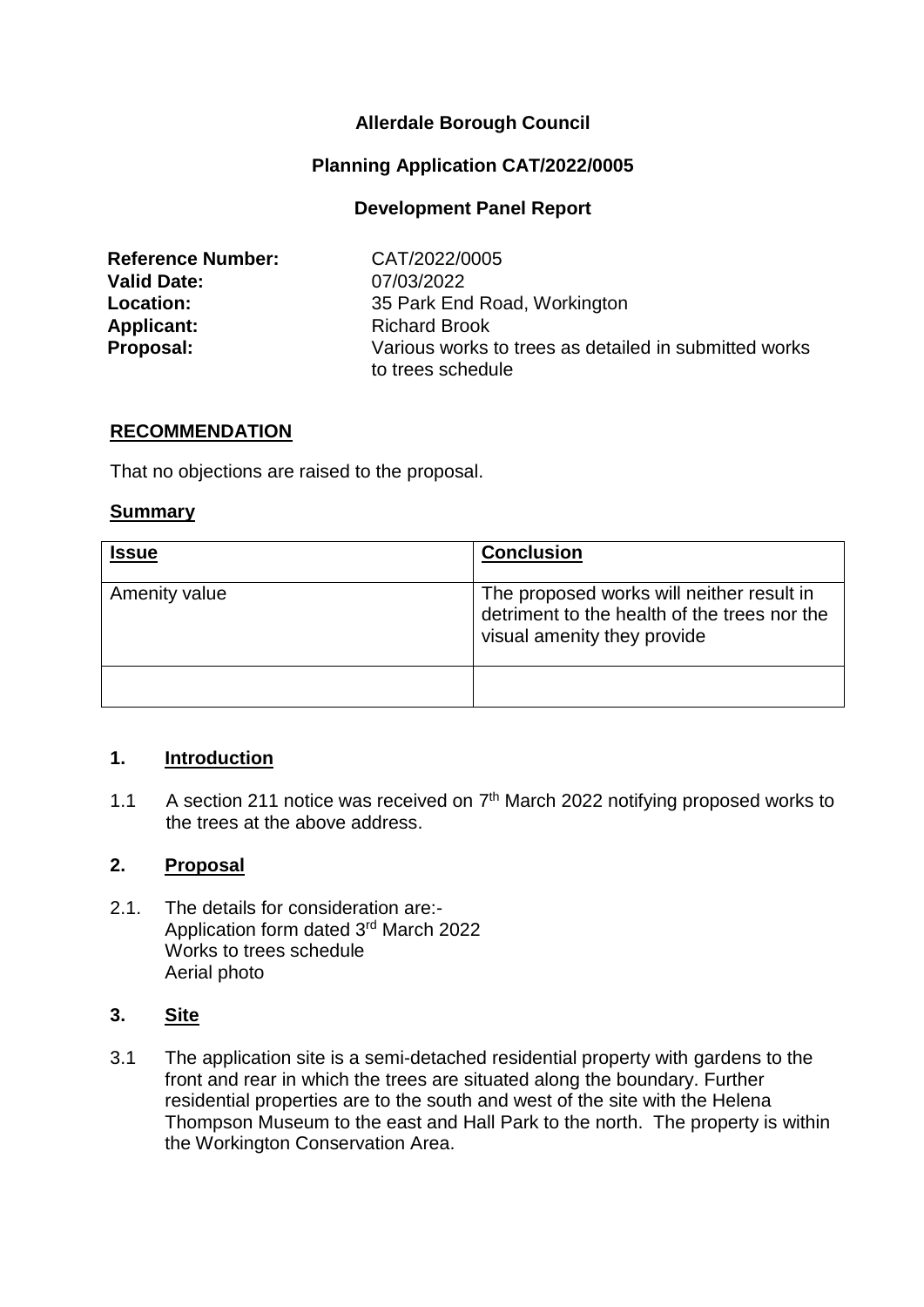# **Allerdale Borough Council**

## **Planning Application CAT/2022/0005**

### **Development Panel Report**

| <b>Reference Number:</b> |
|--------------------------|
| <b>Valid Date:</b>       |
| <b>Location:</b>         |
| <b>Applicant:</b>        |
| Proposal:                |

**Reference Number:** CAT/2022/0005 **Valid Date:** 07/03/2022 **Location:** 35 Park End Road, Workington **Applicant:** Richard Brook Various works to trees as detailed in submitted works to trees schedule

# **RECOMMENDATION**

That no objections are raised to the proposal.

#### **Summary**

| <b>Issue</b>  | <b>Conclusion</b>                                                                                                        |
|---------------|--------------------------------------------------------------------------------------------------------------------------|
| Amenity value | The proposed works will neither result in<br>detriment to the health of the trees nor the<br>visual amenity they provide |
|               |                                                                                                                          |

### **1. Introduction**

1.1 A section 211 notice was received on  $7<sup>th</sup>$  March 2022 notifying proposed works to the trees at the above address.

#### **2. Proposal**

2.1. The details for consideration are:- Application form dated 3<sup>rd</sup> March 2022 Works to trees schedule Aerial photo

### **3. Site**

3.1 The application site is a semi-detached residential property with gardens to the front and rear in which the trees are situated along the boundary. Further residential properties are to the south and west of the site with the Helena Thompson Museum to the east and Hall Park to the north. The property is within the Workington Conservation Area.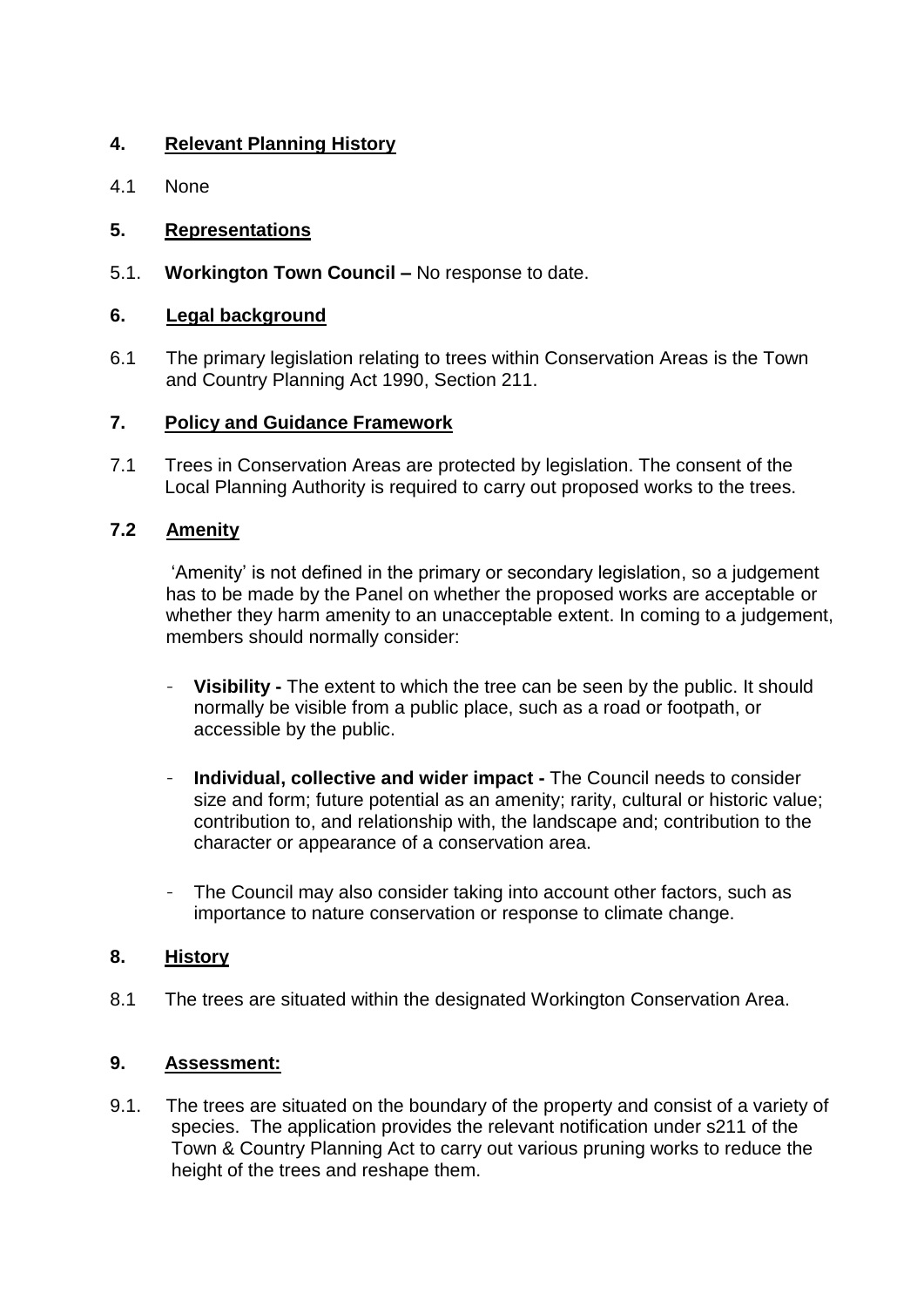# **4. Relevant Planning History**

4.1 None

# **5. Representations**

5.1. **Workington Town Council –** No response to date.

# **6. Legal background**

6.1 The primary legislation relating to trees within Conservation Areas is the Town and Country Planning Act 1990, Section 211.

## **7. Policy and Guidance Framework**

7.1 Trees in Conservation Areas are protected by legislation. The consent of the Local Planning Authority is required to carry out proposed works to the trees.

# **7.2 Amenity**

'Amenity' is not defined in the primary or secondary legislation, so a judgement has to be made by the Panel on whether the proposed works are acceptable or whether they harm amenity to an unacceptable extent. In coming to a judgement, members should normally consider:

- **Visibility -** The extent to which the tree can be seen by the public. It should normally be visible from a public place, such as a road or footpath, or accessible by the public.
- **Individual, collective and wider impact -** The Council needs to consider size and form; future potential as an amenity; rarity, cultural or historic value; contribution to, and relationship with, the landscape and; contribution to the character or appearance of a conservation area.
- The Council may also consider taking into account other factors, such as importance to nature conservation or response to climate change.

## **8. History**

8.1 The trees are situated within the designated Workington Conservation Area.

## **9. Assessment:**

9.1. The trees are situated on the boundary of the property and consist of a variety of species. The application provides the relevant notification under s211 of the Town & Country Planning Act to carry out various pruning works to reduce the height of the trees and reshape them.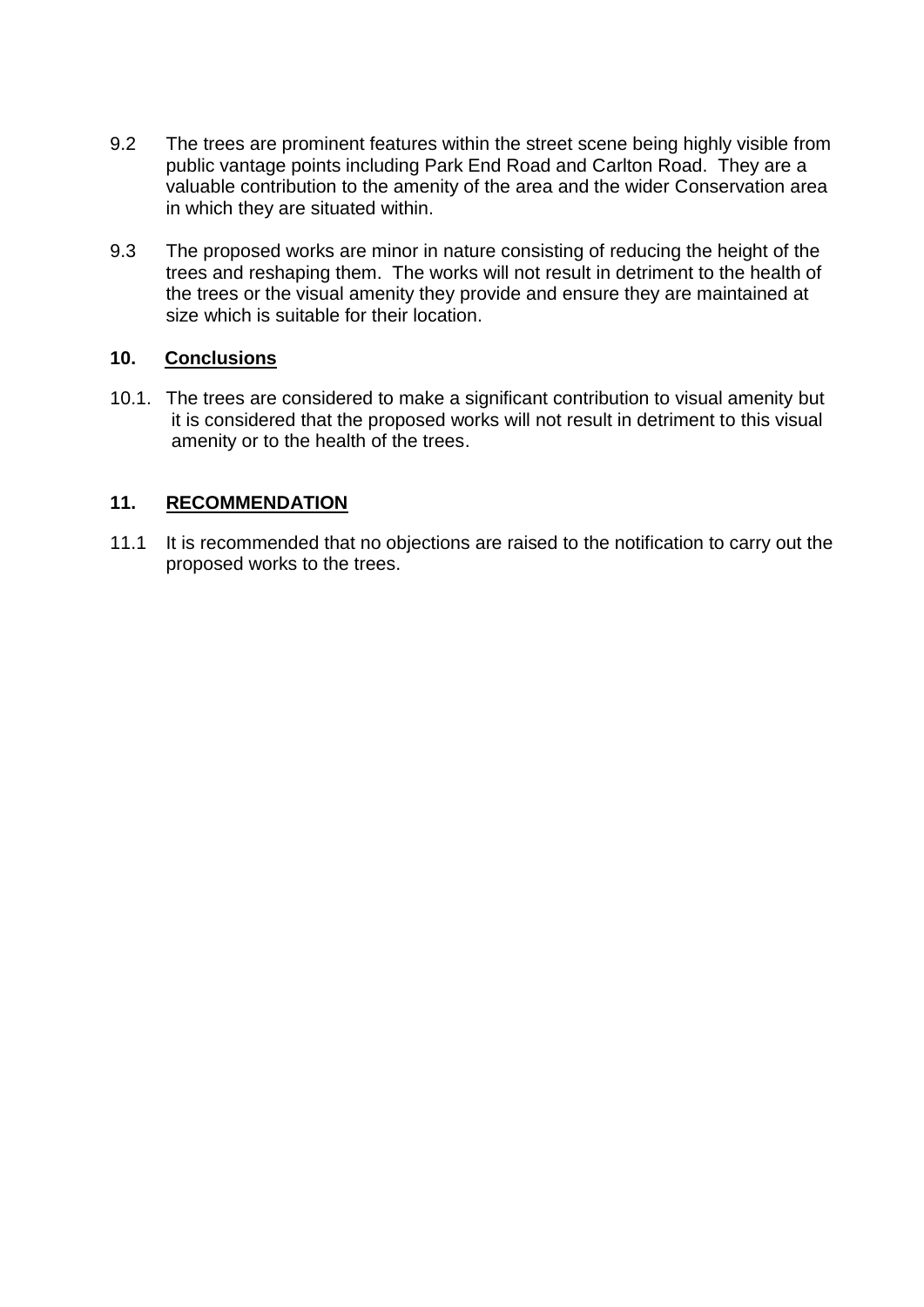- 9.2 The trees are prominent features within the street scene being highly visible from public vantage points including Park End Road and Carlton Road. They are a valuable contribution to the amenity of the area and the wider Conservation area in which they are situated within.
- 9.3 The proposed works are minor in nature consisting of reducing the height of the trees and reshaping them. The works will not result in detriment to the health of the trees or the visual amenity they provide and ensure they are maintained at size which is suitable for their location.

# **10. Conclusions**

10.1. The trees are considered to make a significant contribution to visual amenity but it is considered that the proposed works will not result in detriment to this visual amenity or to the health of the trees.

# **11. RECOMMENDATION**

11.1 It is recommended that no objections are raised to the notification to carry out the proposed works to the trees.